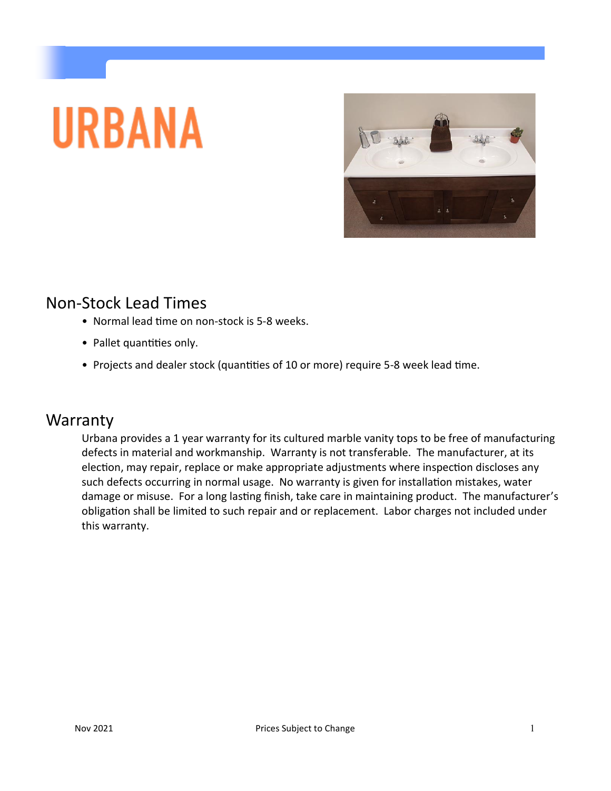# **URBANA**



## Non-Stock Lead Times

- Normal lead time on non-stock is 5-8 weeks.
- Pallet quantities only.
- Projects and dealer stock (quantities of 10 or more) require 5-8 week lead time.

## **Warranty**

Urbana provides a 1 year warranty for its cultured marble vanity tops to be free of manufacturing defects in material and workmanship. Warranty is not transferable. The manufacturer, at its election, may repair, replace or make appropriate adjustments where inspection discloses any such defects occurring in normal usage. No warranty is given for installation mistakes, water damage or misuse. For a long lasting finish, take care in maintaining product. The manufacturer's obligation shall be limited to such repair and or replacement. Labor charges not included under this warranty.